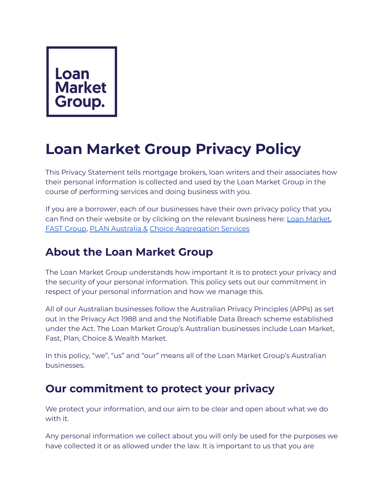# Loan **Market** Group.

# **Loan Market Group Privacy Policy**

This Privacy Statement tells mortgage brokers, loan writers and their associates how their personal information is collected and used by the Loan Market Group in the course of performing services and doing business with you.

If you are a borrower, each of our businesses have their own privacy policy that you can find on their website or by clicking on the relevant business here: Loan [Market,](https://www.loanmarket.com.au/privacy-policy) FAST [Group,](https://www.fastgroup.com.au/privacy/) PLAN [Australia](https://www.planaustralia.com.au/privacy-policy/) & Choice [Aggregation](https://www.choiceaggregationservices.com.au/privacy/) Services

### **About the Loan Market Group**

The Loan Market Group understands how important it is to protect your privacy and the security of your personal information. This policy sets out our commitment in respect of your personal information and how we manage this.

All of our Australian businesses follow the Australian Privacy Principles (APPs) as set out in the Privacy Act 1988 and and the Notifiable Data Breach scheme established under the Act. The Loan Market Group's Australian businesses include Loan Market, Fast, Plan, Choice & Wealth Market.

In this policy, "we", "us" and "our" means all of the Loan Market Group's Australian businesses.

#### **Our commitment to protect your privacy**

We protect your information, and our aim to be clear and open about what we do with it.

Any personal information we collect about you will only be used for the purposes we have collected it or as allowed under the law. It is important to us that you are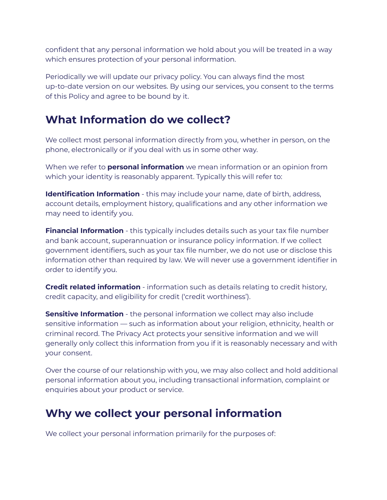confident that any personal information we hold about you will be treated in a way which ensures protection of your personal information.

Periodically we will update our privacy policy. You can always find the most up-to-date version on our websites. By using our services, you consent to the terms of this Policy and agree to be bound by it.

#### **What Information do we collect?**

We collect most personal information directly from you, whether in person, on the phone, electronically or if you deal with us in some other way.

When we refer to **personal information** we mean information or an opinion from which your identity is reasonably apparent. Typically this will refer to:

**Identification Information** - this may include your name, date of birth, address, account details, employment history, qualifications and any other information we may need to identify you.

**Financial Information** - this typically includes details such as your tax file number and bank account, superannuation or insurance policy information. If we collect government identifiers, such as your tax file number, we do not use or disclose this information other than required by law. We will never use a government identifier in order to identify you.

**Credit related information** - information such as details relating to credit history, credit capacity, and eligibility for credit ('credit worthiness').

**Sensitive Information** - the personal information we collect may also include sensitive information — such as information about your religion, ethnicity, health or criminal record. The Privacy Act protects your sensitive information and we will generally only collect this information from you if it is reasonably necessary and with your consent.

Over the course of our relationship with you, we may also collect and hold additional personal information about you, including transactional information, complaint or enquiries about your product or service.

#### **Why we collect your personal information**

We collect your personal information primarily for the purposes of: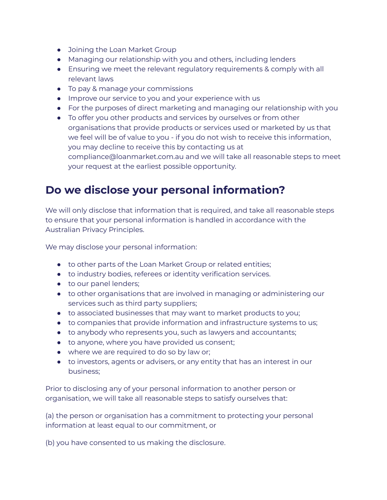- Joining the Loan Market Group
- Managing our relationship with you and others, including lenders
- Ensuring we meet the relevant regulatory requirements & comply with all relevant laws
- To pay & manage your commissions
- Improve our service to you and your experience with us
- For the purposes of direct marketing and managing our relationship with you
- To offer you other products and services by ourselves or from other organisations that provide products or services used or marketed by us that we feel will be of value to you - if you do not wish to receive this information, you may decline to receive this by contacting us at compliance@loanmarket.com.au and we will take all reasonable steps to meet your request at the earliest possible opportunity.

#### **Do we disclose your personal information?**

We will only disclose that information that is required, and take all reasonable steps to ensure that your personal information is handled in accordance with the Australian Privacy Principles.

We may disclose your personal information:

- to other parts of the Loan Market Group or related entities;
- to industry bodies, referees or identity verification services.
- to our panel lenders;
- to other organisations that are involved in managing or administering our services such as third party suppliers;
- to associated businesses that may want to market products to you;
- to companies that provide information and infrastructure systems to us;
- to anybody who represents you, such as lawyers and accountants;
- to anyone, where you have provided us consent;
- where we are required to do so by law or;
- to investors, agents or advisers, or any entity that has an interest in our business;

Prior to disclosing any of your personal information to another person or organisation, we will take all reasonable steps to satisfy ourselves that:

(a) the person or organisation has a commitment to protecting your personal information at least equal to our commitment, or

(b) you have consented to us making the disclosure.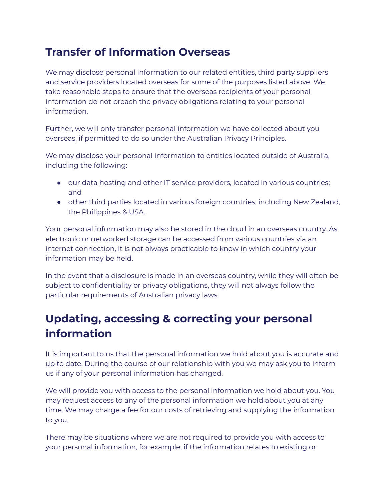### **Transfer of Information Overseas**

We may disclose personal information to our related entities, third party suppliers and service providers located overseas for some of the purposes listed above. We take reasonable steps to ensure that the overseas recipients of your personal information do not breach the privacy obligations relating to your personal information.

Further, we will only transfer personal information we have collected about you overseas, if permitted to do so under the Australian Privacy Principles.

We may disclose your personal information to entities located outside of Australia, including the following:

- our data hosting and other IT service providers, located in various countries; and
- other third parties located in various foreign countries, including New Zealand, the Philippines & USA.

Your personal information may also be stored in the cloud in an overseas country. As electronic or networked storage can be accessed from various countries via an internet connection, it is not always practicable to know in which country your information may be held.

In the event that a disclosure is made in an overseas country, while they will often be subject to confidentiality or privacy obligations, they will not always follow the particular requirements of Australian privacy laws.

## **Updating, accessing & correcting your personal information**

It is important to us that the personal information we hold about you is accurate and up to date. During the course of our relationship with you we may ask you to inform us if any of your personal information has changed.

We will provide you with access to the personal information we hold about you. You may request access to any of the personal information we hold about you at any time. We may charge a fee for our costs of retrieving and supplying the information to you.

There may be situations where we are not required to provide you with access to your personal information, for example, if the information relates to existing or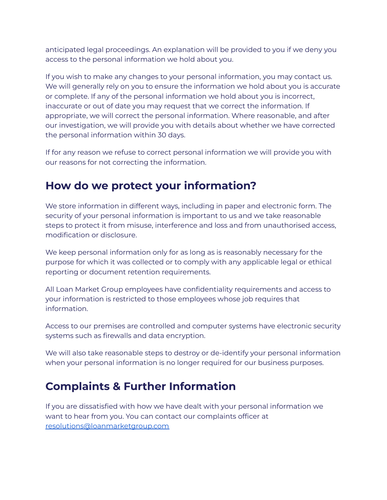anticipated legal proceedings. An explanation will be provided to you if we deny you access to the personal information we hold about you.

If you wish to make any changes to your personal information, you may contact us. We will generally rely on you to ensure the information we hold about you is accurate or complete. If any of the personal information we hold about you is incorrect, inaccurate or out of date you may request that we correct the information. If appropriate, we will correct the personal information. Where reasonable, and after our investigation, we will provide you with details about whether we have corrected the personal information within 30 days.

If for any reason we refuse to correct personal information we will provide you with our reasons for not correcting the information.

#### **How do we protect your information?**

We store information in different ways, including in paper and electronic form. The security of your personal information is important to us and we take reasonable steps to protect it from misuse, interference and loss and from unauthorised access, modification or disclosure.

We keep personal information only for as long as is reasonably necessary for the purpose for which it was collected or to comply with any applicable legal or ethical reporting or document retention requirements.

All Loan Market Group employees have confidentiality requirements and access to your information is restricted to those employees whose job requires that information.

Access to our premises are controlled and computer systems have electronic security systems such as firewalls and data encryption.

We will also take reasonable steps to destroy or de-identify your personal information when your personal information is no longer required for our business purposes.

#### **Complaints & Further Information**

If you are dissatisfied with how we have dealt with your personal information we want to hear from you. You can contact our complaints officer at [resolutions@loanmarketgroup.com](mailto:resolutions@loanmarketgroup.com)